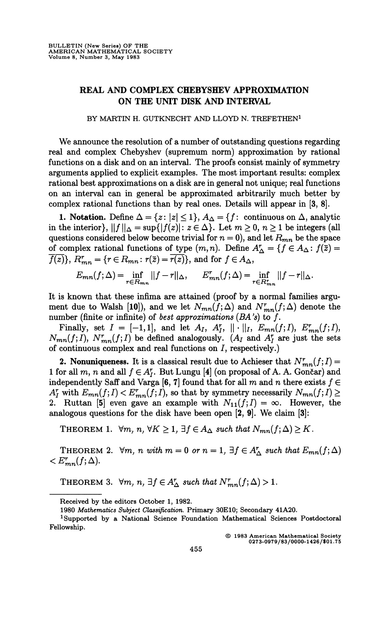## **REAL AND COMPLEX CHEBYSHEV APPROXIMATION ON THE UNIT DISK AND INTERVAL**

## **BY MARTIN H. GUTKNECHT AND LLOYD N. TREFETHEN<sup>1</sup>**

We announce the resolution of a number of outstanding questions regarding real and complex Chebyshev (supremum norm) approximation by rational functions on a disk and on an interval. The proofs consist mainly of symmetry arguments applied to explicit examples. The most important results: complex rational best approximations on a disk are in general not unique; real functions on an interval can in general be approximated arbitrarily much better by complex rational functions than by real ones. Details will appear in [3, 8].

**1. Notation.** Define  $\Delta = \{z : |z| \leq 1\}, A_{\Delta} = \{f : \text{ continuous on } \Delta, \text{ analytic}\}$ in the interior},  $||f||_{\Delta} = \sup\{|f(z)| : z \in \Delta\}$ . Let  $m \geq 0, n \geq 1$  be integers (all questions considered below become trivial for  $n = 0$ , and let  $R_{mn}$  be the space of complex rational functions of type  $(m, n)$ . Define  $A^r_\Delta = \{f \in A_\Delta : f(\bar{z}) = \emptyset\}$  $\overline{f(z)}$ ,  $R_{mn}^r = \{r \in R_{mn} : r(\overline{z}) = \overline{r(z)}\}$ , and for  $f \in A_{\Delta}$ ,

$$
E_{mn}(f;\Delta) = \inf_{r \in R_{mn}} ||f - r||_{\Delta}, \qquad E_{mn}^r(f;\Delta) = \inf_{r \in R_{mn}^r} ||f - r||_{\Delta}.
$$

It is known that these infima are attained (proof by a normal families argument due to Walsh [10]), and we let  $N_{mn}(\overline{f};\Delta)$  and  $N_{mn}^r(f;\Delta)$  denote the number (finite or infinite) of *best approximations (BA 's)* to ƒ.

Finally, set  $I = [-1,1]$ , and let  $A_I$ ,  $A_I^r$ ,  $\|\cdot\|_I$ ,  $E_{mn}(f;I)$ ,  $E_{mn}^r(f;I)$ ,  $N_{mn}(f; I)$ ,  $N_{mn}^r(f; I)$  be defined analogously. ( $A_I$  and  $A_I^r$  are just the sets of continuous complex and real functions on  $I$ , respectively.)

2. Nonuniqueness. It is a classical result due to Achieser that  $N^r_{mn}(f;I) =$ 1 for all m, n and all  $f \in A_I^r$ . But Lungu [4] (on proposal of A. A. Gončar) and independently Saff and Varga [6, 7] found that for all m and n there exists  $f \in$  $A_I^r$  with  $E_{mn}(f;I) < E_{mn}^r(f;I)$ , so that by symmetry necessarily  $N_{mn}(f;I) \geq$ 2. Ruttan [5] even gave an example with  $N_{11}(f;I) = \infty$ . However, the analogous questions for the disk have been open [2, 9]. We claim [3]:

THEOREM 1.  $\forall m, n, \forall K \geq 1, \exists j \in A_{\Delta} \text{ such that } N_{mn}(j; \Delta) \geq K$ .

THEOREM 2.  $\forall m, n \text{ with } m = 0 \text{ or } n = 1, \exists f \in A_{\Delta}^r \text{ such that } E_{mn}(f; \Delta)$  $\langle E_{mn}^r(f;\Delta)$ .

THEOREM 3.  $\forall m, n, \exists f \in A_{\Delta}^r$  such that  $N_{mn}^r(f; \Delta) > 1$ .

**© 1983 American Mathematical Society 0273-0979/83/0000-1426/\$01.75** 

**Received by the editors October 1, 1982.** 

**<sup>1980</sup>** *Mathematics Subject Classification.* **Primary 30E10; Secondary 41A20.** 

<sup>&</sup>lt;sup>1</sup>Supported by a National Science Foundation Mathematical Sciences Postdoctoral **Fellowship.**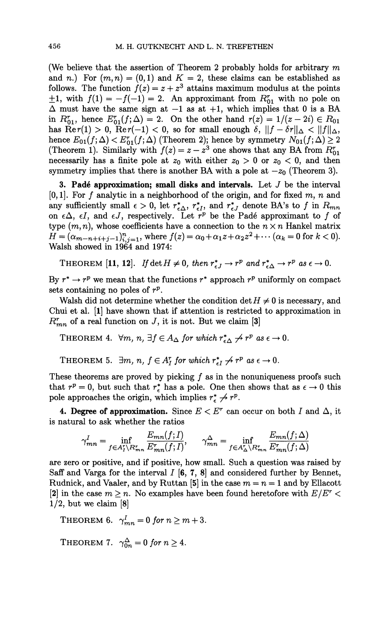(We believe that the assertion of Theorem 2 probably holds for arbitrary *m*  and *n*.) For  $(m, n) = (0, 1)$  and  $K = 2$ , these claims can be established as follows. The function  $f(z) = z + z^3$  attains maximum modulus at the points  $\pm 1$ , with  $f(1) = -f(-1) = 2$ . An approximant from  $R^r_{01}$  with no pole on  $\Delta$  must have the same sign at -1 as at +1, which implies that 0 is a BA in  $R_{01}^r$ , hence  $E_{01}^r(f; \Delta) = 2$ . On the other hand  $r(z) = 1/(z - 2i) \in R_{01}$ has  $\text{Re } r(1) > 0$ ,  $\text{Re } r(-1) < 0$ , so for small enough  $\delta$ ,  $\|f - \delta r\|_{\Delta} < \|f\|_{\Delta}$ , hence  $E_{01}(f;\Delta) < E_{01}^r(f;\Delta)$  (Theorem 2); hence by symmetry  $N_{01}(f;\Delta) \geq 2$ (Theorem 1). Similarly with  $f(z) = z - z^3$  one shows that any BA from  $R^r_{01}$ necessarily has a finite pole at  $z_0$  with either  $z_0 > 0$  or  $z_0 < 0$ , and then symmetry implies that there is another BA with a pole at  $-z_0$  (Theorem 3).

3. Padé approximation; small disks and intervals. Let *J* be the interval [0,1]. For ƒ analytic in a neighborhood of the origin, and for fixed m, *n* and any sufficiently small  $\epsilon > 0$ , let  $r_{\epsilon\Delta}^*$ ,  $r_{\epsilon I}^*$ , and  $r_{\epsilon J}^*$  denote BA's to f in  $R_{mn}$ on  $\epsilon \Delta$ ,  $\epsilon I$ , and  $\epsilon J$ , respectively. Let  $r^p$  be the Padé approximant to f of type  $(m, n)$ , whose coefficients have a connection to the  $n \times n$  Hankel matrix  $H = (\alpha_{m-n+i+j-1})_{i,j=1}^n$ , where  $f(z) = \alpha_0 + \alpha_1 z + \alpha_2 z^2 + \cdots$  ( $\alpha_k = 0$  for  $k < 0$ ). Walsh showed in 1964 and 1974:

THEOREM [11, 12]. If  $\det H \neq 0$ , then  $r_{\epsilon J}^* \rightarrow r^p$  and  $r_{\epsilon \Delta}^* \rightarrow r^p$  as  $\epsilon \rightarrow 0$ .

By  $r^* \to r^p$  we mean that the functions  $r^*$  approach  $r^p$  uniformly on compact sets containing no poles of  $r^p$ .

Walsh did not determine whether the condition  $\det H \neq 0$  is necessary, and Chui et al. [1] have shown that if attention is restricted to approximation in  $R_{mn}^r$  of a real function on  $J$ , it is not. But we claim [3]

THEOREM 4.  $\forall m, n, \exists f \in A_{\Delta}$  for which  $r_{\epsilon\Delta}^* \nrightarrow r^p$  as  $\epsilon \rightarrow 0$ .

THEOREM 5.  $\exists m, n, f \in A_I^r$  for which  $r_{\epsilon I}^* \nrightarrow r^p$  as  $\epsilon \rightarrow 0$ .

These theorems are proved by picking  $f$  as in the nonuniqueness proofs such that  $r^p = 0$ , but such that  $r^*_{\epsilon}$  has a pole. One then shows that as  $\epsilon \to 0$  this pole approaches the origin, which implies  $r_{\epsilon}^* \nightharpoondown r^p$ .

**4. Degree of approximation.** Since  $E < E^r$  can occur on both *I* and  $\Delta$ , it is natural to ask whether the ratios

$$
\gamma_{mn}^I = \inf_{f \in A_I^r \setminus R_{mn}^r} \frac{E_{mn}(f;I)}{E_{mn}^r(f;I)}, \qquad \gamma_{mn}^\Delta = \inf_{f \in A_\Delta^r \setminus R_{mn}^r} \frac{E_{mn}(f;\Delta)}{E_{mn}^r(f;\Delta)}
$$

are zero or positive, and if positive, how small. Such a question was raised by Saff and Varga for the interval  $I$  [6, 7, 8] and considered further by Bennet, Rudnick, and Vaaler, and by Ruttan [5] in the case  $m = n = 1$  and by Ellacott [2] in the case  $m \ge n$ . No examples have been found heretofore with  $E/E^r$  <  $1/2$ , but we claim [8]

THEOREM 6.  $\gamma_{mn}^I = 0$  for  $n \geq m + 3$ .

THEOREM 7.  $\gamma_{0n}^{\Delta} = 0$  for  $n \geq 4$ .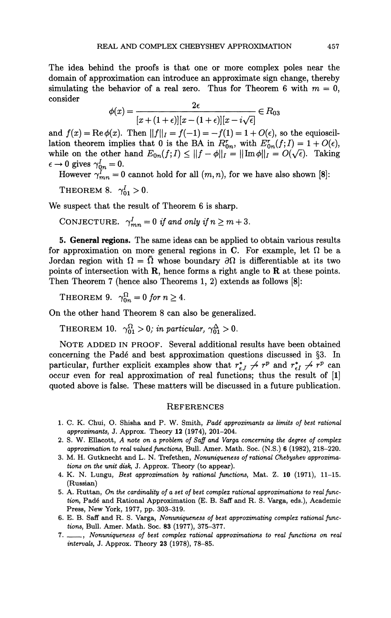The idea behind the proofs is that one or more complex poles near the domain of approximation can introduce an approximate sign change, thereby simulating the behavior of a real zero. Thus for Theorem 6 with  $m = 0$ , consider

$$
\phi(x) = \frac{2\epsilon}{[x + (1 + \epsilon)][x - (1 + \epsilon)][x - i\sqrt{\epsilon}]} \in R_{03}
$$

and  $f(x) = \text{Re}\,\phi(x)$ . Then  $||f||_I = f(-1) = -f(1) = 1 + O(\epsilon)$ , so the equiosciland  $f(x) = \text{Re}\varphi(x)$ . Then  $||f||_1 = f(-1) = -f(1) = 1 + O(\epsilon)$ , so the equioscilation theorem implies that 0 is the BA in  $R_0$ , with  $E_{0n}(f, I) = 1 + O(\epsilon)$ ,<br>while on the other hand  $F_1$ ,  $(f, I) \ge ||f - A|| = ||Im A|| = O(\epsilon)$ . Taking while on the other hand  $E(q_n(f), 1) \ge ||f - \varphi||_1 = ||\min \varphi||_1 = O(v)$ / ë). Taking  $e \rightarrow 0$  gives  $I_{0n} = 0$ .<br>Letters of  $\theta = 0$ .

However  $\gamma^r_{mn} = 0$  cannot hold for all  $(m, n)$ , for we have also shown [8]:

THEOREM 8.  $\gamma_{01}^I > 0$ .

We suspect that the result of Theorem 6 is sharp.

CONJECTURE.  $\gamma^I_{mn} = 0$  if and only if  $n \geq m + 3$ .

5. General regions. The same ideas can be applied to obtain various results for approximation on more general regions in C. For example, let  $\Omega$  be a Jordan region with  $\Omega = \overline{\Omega}$  whose boundary  $\partial \Omega$  is differentiable at its two points of intersection with  $\bf{R}$ , hence forms a right angle to  $\bf{R}$  at these points. Then Theorem 7 (hence also Theorems 1, 2) extends as follows [8]:

THEOREM 9.  $\gamma_{0n}^{\Omega} = 0$  for  $n \geq 4$ .

On the other hand Theorem 8 can also be generalized.

THEOREM 10.  $\gamma_{01}^{\Omega} > 0$ ; in particular,  $\gamma_{01}^{\Delta} > 0$ .

NOTE ADDED IN PROOF. Several additional results have been obtained concerning the Padé and best approximation questions discussed in §3. In particular, further explicit examples show that  $r_{\epsilon J}^* \nightharpoondown r_{\epsilon I}^* \nightharpoondown r_{\epsilon I}^* \nightharpoondown r_{\epsilon I}^*$  can occur even for real approximation of real functions; thus the result of [1] quoted above is false. These matters will be discussed in a future publication.

## **REFERENCES**

- 1. C. K. Chui, O. Shisha and P. W. Smith, *Padé approximants as limits of best rational approximants,* J. Approx. Theory 12 (1974), 201-204.
- 2. S. W. Ellacott, *A note on a problem of Saff and Varga concerning the degree of complex approximation to real valued functions,* Bull. Amer. Math. Soc. (N.S.) 6 (1982), 218-220.
- 3. M. H. Gutknecht and L. N. Trefethen, *Nonuniqueness of rational Chebyshev approximations on the unit disk,* J. Approx. Theory (to appear).
- 4. K. N. Lungu, *Best approximation by rational functions,* Mat. Z. 10 (1971), 11-15. (Russian)
- 5. A. Ruttan, *On the cardinality of a set of best complex rational approximations to real function,* Padé and Rational Approximation (E. B. Saff and R. S. Varga, eds.), Academic Press, New York, 1977, pp. 303-319.
- 6. E. B. Saff and R. S. Varga, *Nonuniqueness of best approximating complex rational functions,* Bull. Amer. Math. Soc. 83 (1977), 375-377.
- 7. , *Nonuniqueness of best complex rational approximations to real functions on real intervals,* J. Approx. Theory 23 (1978), 78-85.